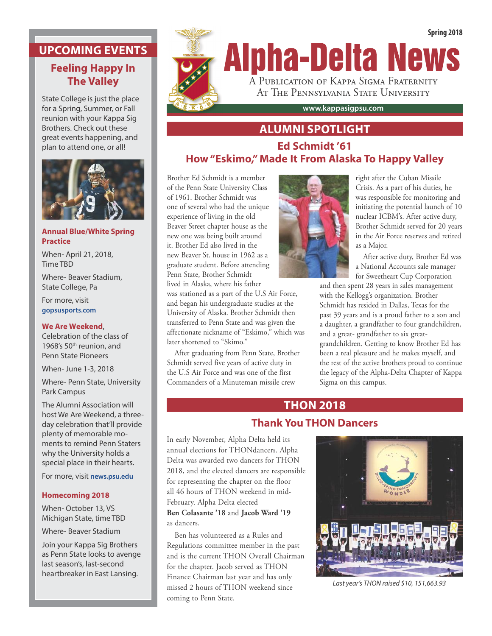#### **UPCOMING EVENTS**

## **Feeling Happy In The Valley**

State College is just the place for a Spring, Summer, or Fall reunion with your Kappa Sig Brothers. Check out these great events happening, and plan to attend one, or all!



#### **Annual Blue/White Spring Practice**

When- April 21, 2018, Time TBD

Where- Beaver Stadium, State College, Pa

For more, visit **gopsusports.com**

#### **We Are Weekend**,

Celebration of the class of 1968's 50<sup>th</sup> reunion, and Penn State Pioneers

When- June 1-3, 2018

Where- Penn State, University Park Campus

The Alumni Association will host We Are Weekend, a threeday celebration that'll provide plenty of memorable moments to remind Penn Staters why the University holds a special place in their hearts.

For more, visit **news.psu.edu**

#### **Homecoming 2018**

When- October 13, VS Michigan State, time TBD

Where- Beaver Stadium

Join your Kappa Sig Brothers as Penn State looks to avenge last season's, last-second heartbreaker in East Lansing.



# **ALUMNI SPOTLIGHT**

## **Ed Schmidt '61 How "Eskimo," Made It From Alaska To Happy Valley**

Brother Ed Schmidt is a member of the Penn State University Class of 1961. Brother Schmidt was one of several who had the unique experience of living in the old Beaver Street chapter house as the new one was being built around it. Brother Ed also lived in the new Beaver St. house in 1962 as a graduate student. Before attending Penn State, Brother Schmidt lived in Alaska, where his father

was stationed as a part of the U.S Air Force, and began his undergraduate studies at the University of Alaska. Brother Schmidt then transferred to Penn State and was given the affectionate nickname of "Eskimo," which was later shortened to "Skimo."

 After graduating from Penn State, Brother Schmidt served five years of active duty in the U.S Air Force and was one of the first Commanders of a Minuteman missile crew



right after the Cuban Missile Crisis. As a part of his duties, he was responsible for monitoring and initiating the potential launch of 10 nuclear ICBM's. After active duty, Brother Schmidt served for 20 years in the Air Force reserves and retired as a Major.

After active duty, Brother Ed was a National Accounts sale manager for Sweetheart Cup Corporation

and then spent 28 years in sales management with the Kellogg's organization. Brother Schmidt has resided in Dallas, Texas for the past 39 years and is a proud father to a son and a daughter, a grandfather to four grandchildren, and a great- grandfather to six greatgrandchildren. Getting to know Brother Ed has been a real pleasure and he makes myself, and the rest of the active brothers proud to continue the legacy of the Alpha-Delta Chapter of Kappa Sigma on this campus.

## **THON 2018 Thank You THON Dancers**

In early November, Alpha Delta held its annual elections for THONdancers. Alpha Delta was awarded two dancers for THON 2018, and the elected dancers are responsible for representing the chapter on the floor all 46 hours of THON weekend in mid-February. Alpha Delta elected **Ben Colasante '18** and **Jacob Ward '19** as dancers.

 Ben has volunteered as a Rules and Regulations committee member in the past and is the current THON Overall Chairman for the chapter. Jacob served as THON Finance Chairman last year and has only missed 2 hours of THON weekend since coming to Penn State.



*Last year's THON raised \$10, 151,663.93*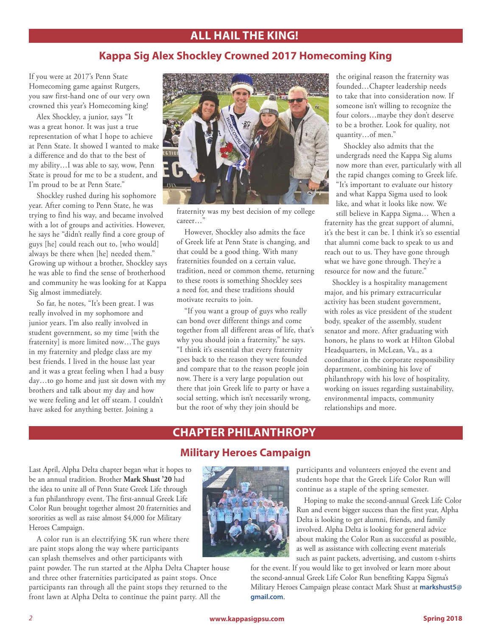## **ALL HAIL THE KING!**

## **Kappa Sig Alex Shockley Crowned 2017 Homecoming King**

If you were at 2017's Penn State Homecoming game against Rutgers, you saw first-hand one of our very own crowned this year's Homecoming king!

Alex Shockley, a junior, says "It was a great honor. It was just a true representation of what I hope to achieve at Penn State. It showed I wanted to make a difference and do that to the best of my ability…I was able to say, wow, Penn State is proud for me to be a student, and I'm proud to be at Penn State."

Shockley rushed during his sophomore year. After coming to Penn State, he was trying to find his way, and became involved with a lot of groups and activities. However, he says he "didn't really find a core group of guys [he] could reach out to, [who would] always be there when [he] needed them." Growing up without a brother, Shockley says he was able to find the sense of brotherhood and community he was looking for at Kappa Sig almost immediately.

So far, he notes, "It's been great. I was really involved in my sophomore and junior years. I'm also really involved in student government, so my time [with the fraternity] is more limited now…The guys in my fraternity and pledge class are my best friends. I lived in the house last year and it was a great feeling when I had a busy day…to go home and just sit down with my brothers and talk about my day and how we were feeling and let off steam. I couldn't have asked for anything better. Joining a



fraternity was my best decision of my college career…"

However, Shockley also admits the face of Greek life at Penn State is changing, and that could be a good thing. With many fraternities founded on a certain value, tradition, need or common theme, returning to these roots is something Shockley sees a need for, and these traditions should motivate recruits to join.

"If you want a group of guys who really can bond over different things and come together from all different areas of life, that's why you should join a fraternity," he says. "I think it's essential that every fraternity goes back to the reason they were founded and compare that to the reason people join now. There is a very large population out there that join Greek life to party or have a social setting, which isn't necessarily wrong, but the root of why they join should be

the original reason the fraternity was founded…Chapter leadership needs to take that into consideration now. If someone isn't willing to recognize the four colors…maybe they don't deserve to be a brother. Look for quality, not quantity…of men."

Shockley also admits that the undergrads need the Kappa Sig alums now more than ever, particularly with all the rapid changes coming to Greek life. "It's important to evaluate our history and what Kappa Sigma used to look like, and what it looks like now. We

still believe in Kappa Sigma… When a fraternity has the great support of alumni, it's the best it can be. I think it's so essential that alumni come back to speak to us and reach out to us. They have gone through what we have gone through. They're a resource for now and the future."

Shockley is a hospitality management major, and his primary extracurricular activity has been student government, with roles as vice president of the student body, speaker of the assembly, student senator and more. After graduating with honors, he plans to work at Hilton Global Headquarters, in McLean, Va., as a coordinator in the corporate responsibility department, combining his love of philanthropy with his love of hospitality, working on issues regarding sustainability, environmental impacts, community relationships and more.

## **CHAPTER PHILANTHROPY**

#### **Military Heroes Campaign**

Last April, Alpha Delta chapter began what it hopes to be an annual tradition. Brother **Mark Shust '20** had the idea to unite all of Penn State Greek Life through a fun philanthropy event. The first-annual Greek Life Color Run brought together almost 20 fraternities and sororities as well as raise almost \$4,000 for Military Heroes Campaign.

A color run is an electrifying 5K run where there are paint stops along the way where participants can splash themselves and other participants with

paint powder. The run started at the Alpha Delta Chapter house and three other fraternities participated as paint stops. Once participants ran through all the paint stops they returned to the front lawn at Alpha Delta to continue the paint party. All the



participants and volunteers enjoyed the event and students hope that the Greek Life Color Run will continue as a staple of the spring semester.

Hoping to make the second-annual Greek Life Color Run and event bigger success than the first year, Alpha Delta is looking to get alumni, friends, and family involved. Alpha Delta is looking for general advice about making the Color Run as successful as possible, as well as assistance with collecting event materials such as paint packets, advertising, and custom t-shirts

for the event. If you would like to get involved or learn more about the second-annual Greek Life Color Run benefiting Kappa Sigma's Military Heroes Campaign please contact Mark Shust at **markshust5@ gmail.com**.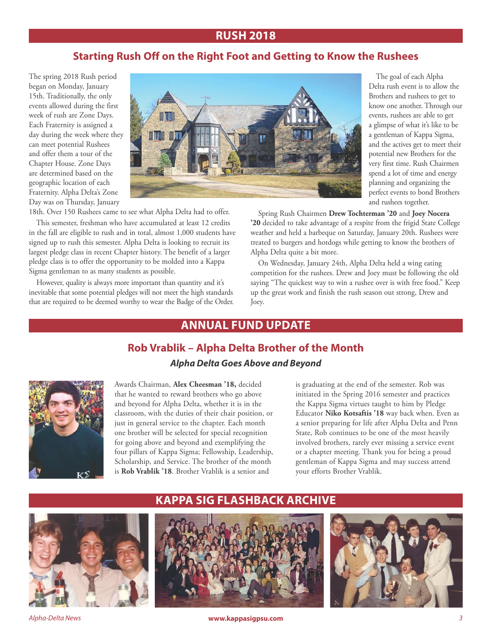#### **RUSH 2018**

#### **Starting Rush Off on the Right Foot and Getting to Know the Rushees**

The spring 2018 Rush period began on Monday, January 15th. Traditionally, the only events allowed during the first week of rush are Zone Days. Each Fraternity is assigned a day during the week where they can meet potential Rushees and offer them a tour of the Chapter House. Zone Days are determined based on the geographic location of each Fraternity. Alpha Delta's Zone Day was on Thursday, January



18th. Over 150 Rushees came to see what Alpha Delta had to offer.

This semester, freshman who have accumulated at least 12 credits in the fall are eligible to rush and in total, almost 1,000 students have signed up to rush this semester. Alpha Delta is looking to recruit its largest pledge class in recent Chapter history. The benefit of a larger pledge class is to offer the opportunity to be molded into a Kappa Sigma gentleman to as many students as possible.

However, quality is always more important than quantity and it's inevitable that some potential pledges will not meet the high standards that are required to be deemed worthy to wear the Badge of the Order.

The goal of each Alpha Delta rush event is to allow the Brothers and rushees to get to know one another. Through our events, rushees are able to get a glimpse of what it's like to be a gentleman of Kappa Sigma, and the actives get to meet their potential new Brothers for the very first time. Rush Chairmen spend a lot of time and energy planning and organizing the perfect events to bond Brothers and rushees together.

Spring Rush Chairmen **Drew Tochterman '20** and **Joey Nocera '20** decided to take advantage of a respite from the frigid State College weather and held a barbeque on Saturday, January 20th. Rushees were treated to burgers and hotdogs while getting to know the brothers of Alpha Delta quite a bit more.

On Wednesday, January 24th, Alpha Delta held a wing eating competition for the rushees. Drew and Joey must be following the old saying "The quickest way to win a rushee over is with free food." Keep up the great work and finish the rush season out strong, Drew and Joey.

## **ANNUAL FUND UPDATE**

#### **Rob Vrablik – Alpha Delta Brother of the Month** *Alpha Delta Goes Above and Beyond*



Awards Chairman, **Alex Cheesman '18,** decided that he wanted to reward brothers who go above and beyond for Alpha Delta, whether it is in the classroom, with the duties of their chair position, or just in general service to the chapter. Each month one brother will be selected for special recognition for going above and beyond and exemplifying the four pillars of Kappa Sigma; Fellowship, Leadership, Scholarship, and Service. The brother of the month is **Rob Vrablik '18**. Brother Vrablik is a senior and

is graduating at the end of the semester. Rob was initiated in the Spring 2016 semester and practices the Kappa Sigma virtues taught to him by Pledge Educator **Niko Kotsaftis '18** way back when. Even as a senior preparing for life after Alpha Delta and Penn State, Rob continues to be one of the most heavily involved brothers, rarely ever missing a service event or a chapter meeting. Thank you for being a proud gentleman of Kappa Sigma and may success attend your efforts Brother Vrablik.



#### **KAPPA SIG FLASHBACK ARCHIVE**